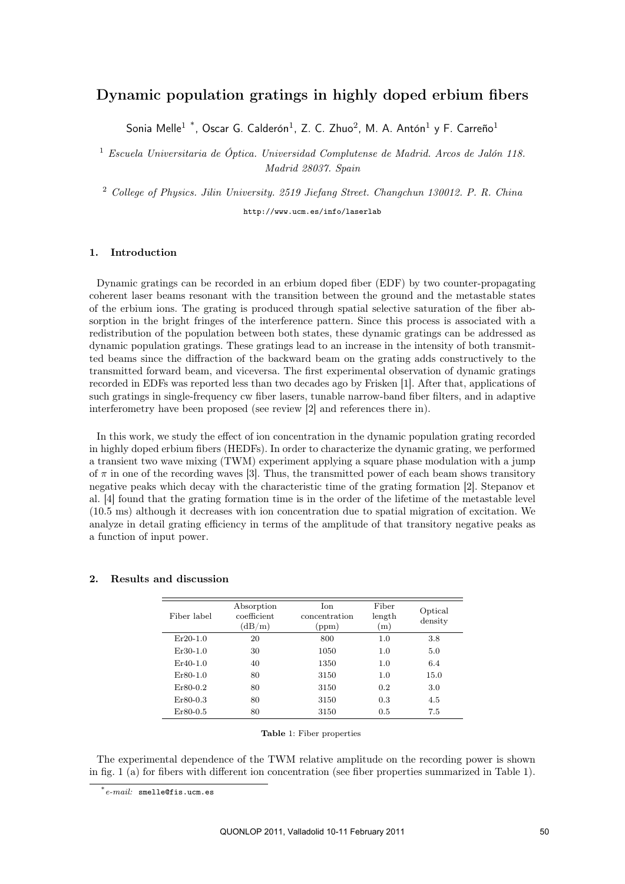## Dynamic population gratings in highly doped erbium fibers

Sonia Melle<sup>1</sup> \*, Oscar G. Calderón<sup>1</sup>, Z. C. Zhuo<sup>2</sup>, M. A. Antón<sup>1</sup> y F. Carreño<sup>1</sup>

<sup>1</sup> *Escuela Universitaria de Óptica. Universidad Complutense de Madrid. Arcos de Jalón 118. Madrid 28037. Spain*

<sup>2</sup> *College of Physics. Jilin University. 2519 Jiefang Street. Changchun 130012. P. R. China*

http://www.ucm.es/info/laserlab

## 1. Introduction

Dynamic gratings can be recorded in an erbium doped fiber (EDF) by two counter-propagating coherent laser beams resonant with the transition between the ground and the metastable states of the erbium ions. The grating is produced through spatial selective saturation of the fiber absorption in the bright fringes of the interference pattern. Since this process is associated with a redistribution of the population between both states, these dynamic gratings can be addressed as dynamic population gratings. These gratings lead to an increase in the intensity of both transmitted beams since the diffraction of the backward beam on the grating adds constructively to the transmitted forward beam, and viceversa. The first experimental observation of dynamic gratings recorded in EDFs was reported less than two decades ago by Frisken [1]. After that, applications of such gratings in single-frequency cw fiber lasers, tunable narrow-band fiber filters, and in adaptive interferometry have been proposed (see review [2] and references there in).

In this work, we study the effect of ion concentration in the dynamic population grating recorded in highly doped erbium fibers (HEDFs). In order to characterize the dynamic grating, we performed a transient two wave mixing (TWM) experiment applying a square phase modulation with a jump of  $\pi$  in one of the recording waves [3]. Thus, the transmitted power of each beam shows transitory negative peaks which decay with the characteristic time of the grating formation [2]. Stepanov et al. [4] found that the grating formation time is in the order of the lifetime of the metastable level (10.5 ms) although it decreases with ion concentration due to spatial migration of excitation. We analyze in detail grating efficiency in terms of the amplitude of that transitory negative peaks as a function of input power.

| Fiber label | Absorption<br>coefficient<br>(dB/m) | Ion.<br>concentration<br>(ppm) | Fiber<br>length<br>(m) | Optical<br>density |
|-------------|-------------------------------------|--------------------------------|------------------------|--------------------|
| $Er20-1.0$  | 20                                  | 800                            | 1.0                    | 3.8                |
| $Er30-1.0$  | 30                                  | 1050                           | 1.0                    | 5.0                |
| $Er40-1.0$  | 40                                  | 1350                           | 1.0                    | 6.4                |
| $Er80-1.0$  | 80                                  | 3150                           | 1.0                    | 15.0               |
| $Er80-0.2$  | 80                                  | 3150                           | 0.2                    | 3.0                |
| $Er80-0.3$  | 80                                  | 3150                           | 0.3                    | 4.5                |
| $Er80-0.5$  | 80                                  | 3150                           | 0.5                    | 7.5                |

## 2. Results and discussion

Table 1: Fiber properties

The experimental dependence of the TWM relative amplitude on the recording power is shown in fig. 1 (a) for fibers with different ion concentration (see fiber properties summarized in Table 1).

<sup>\*</sup>*e-mail:* smelle@fis.ucm.es